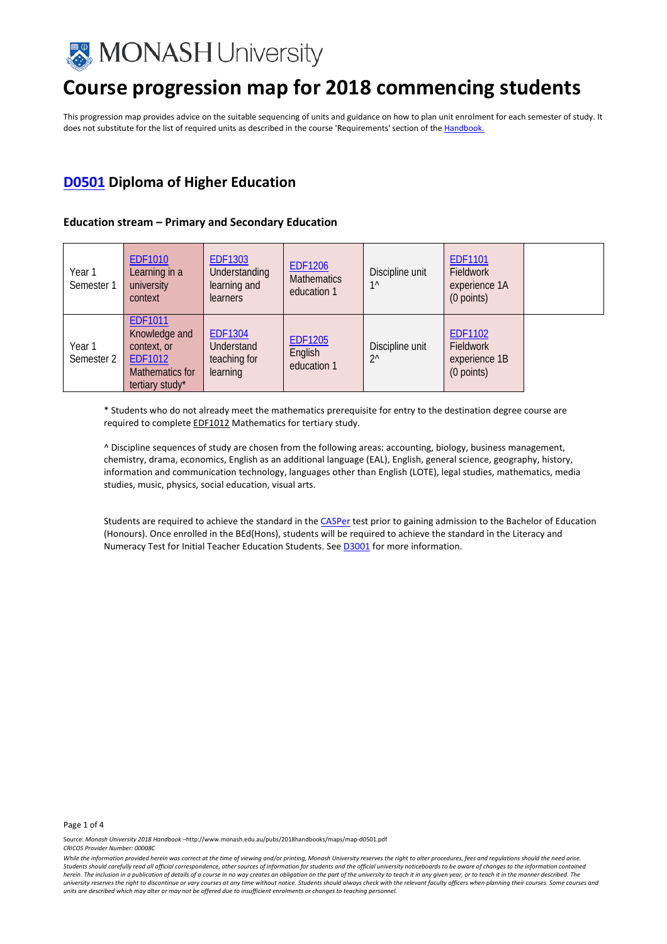

This progression map provides advice on the suitable sequencing of units and guidance on how to plan unit enrolment for each semester of study. It does not substitute for the list of required units as described in the course 'Requirements' section of the [Handbook.](http://www.monash.edu.au/pubs/2018handbooks/)

## **[D0501](http://www.monash.edu.au/pubs/2018handbooks/courses/D0501.html) Diploma of Higher Education**

### **Education stream – Primary and Secondary Education**

| Year 1<br>Semester 1 | <b>EDF1010</b><br>Learning in a<br>university<br>context                                        | <b>EDF1303</b><br>Understanding<br>learning and<br><i>learners</i> | <b>EDF1206</b><br><b>Mathematics</b><br>education 1 | Discipline unit<br>1 <sub>0</sub> | <b>EDF1101</b><br>Fieldwork<br>experience 1A<br>(0 points) |  |
|----------------------|-------------------------------------------------------------------------------------------------|--------------------------------------------------------------------|-----------------------------------------------------|-----------------------------------|------------------------------------------------------------|--|
| Year 1<br>Semester 2 | EDF1011<br>Knowledge and<br>context, or<br><b>EDF1012</b><br>Mathematics for<br>tertiary study* | <b>EDF1304</b><br><b>Understand</b><br>teaching for<br>learning    | <b>EDF1205</b><br>English<br>education 1            | Discipline unit<br>$2^{\wedge}$   | <b>EDF1102</b><br>Fieldwork<br>experience 1B<br>(0 points) |  |

\* Students who do not already meet the mathematics prerequisite for entry to the destination degree course are required to complete [EDF1012](http://www.monash.edu.au/pubs/handbooks/units/EDF1012.html) Mathematics for tertiary study.

^ Discipline sequences of study are chosen from the following areas: accounting, biology, business management, chemistry, drama, economics, English as an additional language (EAL), English, general science, geography, history, information and communication technology, languages other than English (LOTE), legal studies, mathematics, media studies, music, physics, social education, visual arts.

Students are required to achieve the standard in th[e CASPer](https://takecasper.com/) test prior to gaining admission to the Bachelor of Education (Honours). Once enrolled in the BEd(Hons), students will be required to achieve the standard in the Literacy and Numeracy Test for Initial Teacher Education Students. See **D3001** for more information.

Page 1 of 4

*While the information provided herein was correct at the time of viewing and/or printing, Monash University reserves the right to alter procedures, fees and regulations should the need arise. Students should carefully read all official correspondence, other sources of information for students and the official university noticeboards to be aware of changes to the information contained herein. The inclusion in a publication of details of a course in no way creates an obligation on the part of the university to teach it in any given year, or to teach it in the manner described. The university reserves the right to discontinue or vary courses at any time without notice. Students should always check with the relevant faculty officers when planning their courses. Some courses and units are described which may alter or may not be offered due to insufficient enrolments or changes to teaching personnel.*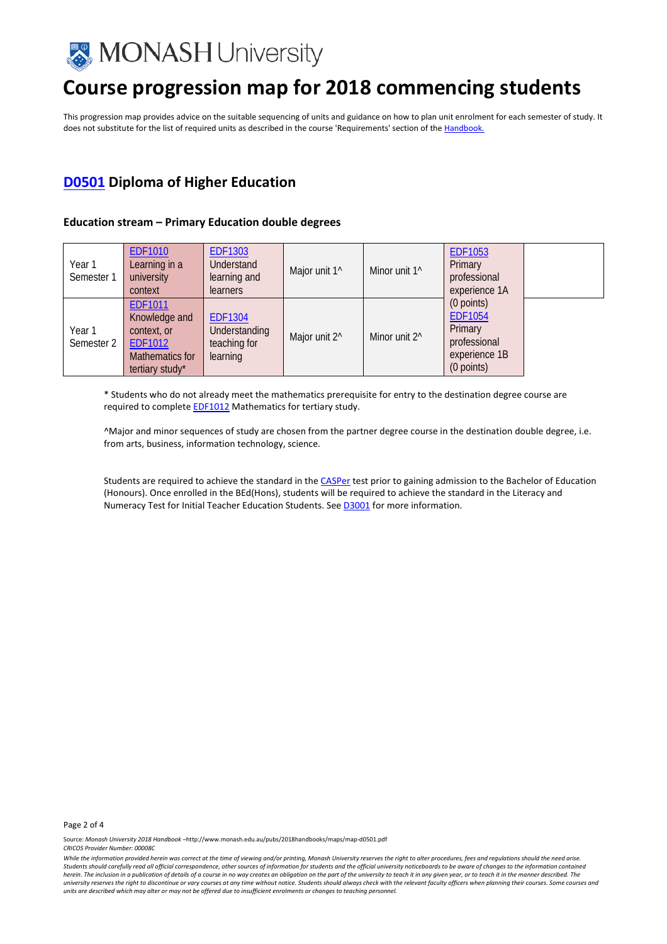

This progression map provides advice on the suitable sequencing of units and guidance on how to plan unit enrolment for each semester of study. It does not substitute for the list of required units as described in the course 'Requirements' section of the [Handbook.](http://www.monash.edu.au/pubs/2018handbooks/)

## **[D0501](http://www.monash.edu.au/pubs/2018handbooks/courses/D0501.html) Diploma of Higher Education**

### **Education stream – Primary Education double degrees**

| Year 1<br>Semester 1 | <b>EDF1010</b><br>Learning in a<br>university<br>context                                               | <b>EDF1303</b><br>Understand<br>learning and<br><b>learners</b> | Major unit 1 <sup>^</sup> | Minor unit 1 <sup>^</sup> | <b>EDF1053</b><br>Primary<br>professional<br>experience 1A                             |  |
|----------------------|--------------------------------------------------------------------------------------------------------|-----------------------------------------------------------------|---------------------------|---------------------------|----------------------------------------------------------------------------------------|--|
| Year 1<br>Semester 2 | <b>EDF1011</b><br>Knowledge and<br>context, or<br><b>EDF1012</b><br>Mathematics for<br>tertiary study* | <b>EDF1304</b><br>Understanding<br>teaching for<br>learning     | Major unit 2 <sup>^</sup> | Minor unit 2 <sup>^</sup> | (0 points)<br><b>EDF1054</b><br>Primary<br>professional<br>experience 1B<br>(0 points) |  |

\* Students who do not already meet the mathematics prerequisite for entry to the destination degree course are required to complete **[EDF1012](http://www.monash.edu.au/pubs/handbooks/units/EDF1012.html)** Mathematics for tertiary study.

^Major and minor sequences of study are chosen from the partner degree course in the destination double degree, i.e. from arts, business, information technology, science.

Students are required to achieve the standard in th[e CASPer](https://takecasper.com/) test prior to gaining admission to the Bachelor of Education (Honours). Once enrolled in the BEd(Hons), students will be required to achieve the standard in the Literacy and Numeracy Test for Initial Teacher Education Students. See **D3001** for more information.

Page 2 of 4

*While the information provided herein was correct at the time of viewing and/or printing, Monash University reserves the right to alter procedures, fees and regulations should the need arise. Students should carefully read all official correspondence, other sources of information for students and the official university noticeboards to be aware of changes to the information contained*  herein. The inclusion in a publication of details of a course in no way creates an obligation on the part of the university to teach it in any given year, or to teach it in the manner described. The *university reserves the right to discontinue or vary courses at any time without notice. Students should always check with the relevant faculty officers when planning their courses. Some courses and units are described which may alter or may not be offered due to insufficient enrolments or changes to teaching personnel.*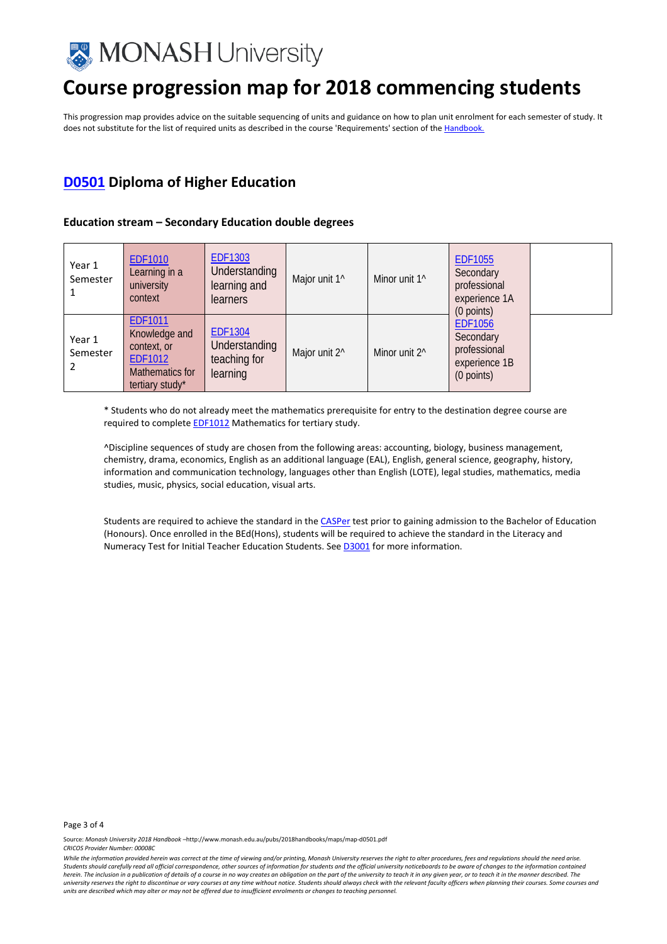

This progression map provides advice on the suitable sequencing of units and guidance on how to plan unit enrolment for each semester of study. It does not substitute for the list of required units as described in the course 'Requirements' section of the [Handbook.](http://www.monash.edu.au/pubs/2018handbooks/)

## **[D0501](http://www.monash.edu.au/pubs/2018handbooks/courses/D0501.html) Diploma of Higher Education**

### **Education stream – Secondary Education double degrees**

| Year 1<br>Semester | <b>EDF1010</b><br>Learning in a<br>university<br>context                                               | <b>EDF1303</b><br>Understanding<br>learning and<br><b>learners</b> | Major unit 1^             | Minor unit 1 <sup>^</sup> | <b>EDF1055</b><br>Secondary<br>professional<br>experience 1A<br>(0 points) |  |
|--------------------|--------------------------------------------------------------------------------------------------------|--------------------------------------------------------------------|---------------------------|---------------------------|----------------------------------------------------------------------------|--|
| Year 1<br>Semester | <b>EDF1011</b><br>Knowledge and<br>context, or<br><b>EDF1012</b><br>Mathematics for<br>tertiary study* | <b>EDF1304</b><br>Understanding<br>teaching for<br>learning        | Major unit 2 <sup>^</sup> | Minor unit 2 <sup>^</sup> | <b>EDF1056</b><br>Secondary<br>professional<br>experience 1B<br>(0 points) |  |

\* Students who do not already meet the mathematics prerequisite for entry to the destination degree course are required to complete **[EDF1012](http://www.monash.edu.au/pubs/handbooks/units/EDF1012.html)** Mathematics for tertiary study.

^Discipline sequences of study are chosen from the following areas: accounting, biology, business management, chemistry, drama, economics, English as an additional language (EAL), English, general science, geography, history, information and communication technology, languages other than English (LOTE), legal studies, mathematics, media studies, music, physics, social education, visual arts.

Students are required to achieve the standard in th[e CASPer](https://takecasper.com/) test prior to gaining admission to the Bachelor of Education (Honours). Once enrolled in the BEd(Hons), students will be required to achieve the standard in the Literacy and Numeracy Test for Initial Teacher Education Students. See **D3001** for more information.

Page 3 of 4

*While the information provided herein was correct at the time of viewing and/or printing, Monash University reserves the right to alter procedures, fees and regulations should the need arise. Students should carefully read all official correspondence, other sources of information for students and the official university noticeboards to be aware of changes to the information contained herein. The inclusion in a publication of details of a course in no way creates an obligation on the part of the university to teach it in any given year, or to teach it in the manner described. The university reserves the right to discontinue or vary courses at any time without notice. Students should always check with the relevant faculty officers when planning their courses. Some courses and units are described which may alter or may not be offered due to insufficient enrolments or changes to teaching personnel.*